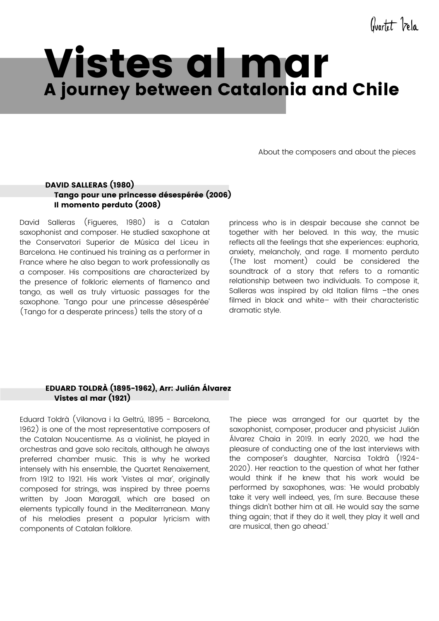Quartet Vela

# Vistes al mar A journey between Catalonia and Chile

About the composers and about the pieces

# DAVID SALLERAS (1980) Tango pour une princesse désespérée (2006) Il momento perduto (2008)

David Salleras (Figueres, 1980) is a Catalan saxophonist and composer. He studied saxophone at the Conservatori Superior de Música del Liceu in Barcelona. He continued his training as a performer in France where he also began to work professionally as a composer. His compositions are characterized by the presence of folkloric elements of flamenco and tango, as well as truly virtuosic passages for the saxophone. 'Tango pour une princesse désespérée' (Tango for a desperate princess) tells the story of a

princess who is in despair because she cannot be together with her beloved. In this way, the music reflects all the feelings that she experiences: euphoria, anxiety, melancholy, and rage. Il momento perduto (The lost moment) could be considered the soundtrack of a story that refers to a romantic relationship between two individuals. To compose it, Salleras was inspired by old Italian films –the ones filmed in black and white– with their characteristic dramatic style.

# EDUARD TOLDRÀ (1895-1962), Arr: Julián Álvarez Vistes al mar (1921)

Eduard Toldrà (Vilanova i la Geltrú, 1895 - Barcelona, 1962) is one of the most representative composers of the Catalan Noucentisme. As a violinist, he played in orchestras and gave solo recitals, although he always preferred chamber music. This is why he worked intensely with his ensemble, the Quartet Renaixement, from 1912 to 1921. His work 'Vistes al mar', originally composed for strings, was inspired by three poems written by Joan Maragall, which are based on elements typically found in the Mediterranean. Many of his melodies present a popular lyricism with components of Catalan folklore.

The piece was arranged for our quartet by the saxophonist, composer, producer and physicist Julián Álvarez Chaia in 2019. In early 2020, we had the pleasure of conducting one of the last interviews with the composer's daughter, Narcisa Toldrà (1924- 2020). Her reaction to the question of what her father would think if he knew that his work would be performed by saxophones, was: 'He would probably take it very well indeed, yes, I'm sure. Because these things didn't bother him at all. He would say the same thing again; that if they do it well, they play it well and are musical, then go ahead.'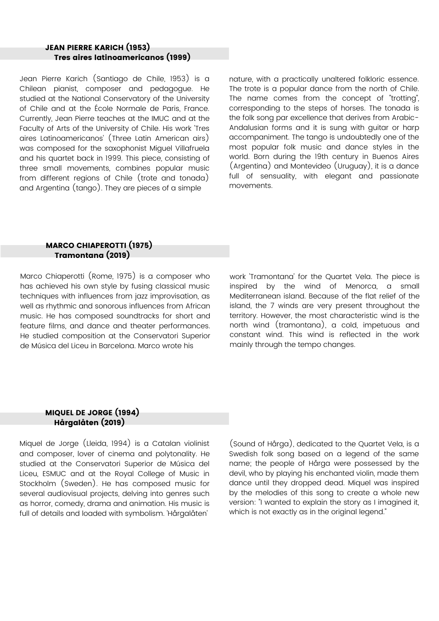# JEAN PIERRE KARICH (1953) Tres aires latinoamericanos (1999)

Jean Pierre Karich (Santiago de Chile, 1953) is a Chilean pianist, composer and pedagogue. He studied at the National Conservatory of the University of Chile and at the École Normale de Paris, France. Currently, Jean Pierre teaches at the IMUC and at the Faculty of Arts of the University of Chile. His work 'Tres aires Latinoamericanos' (Three Latin American airs) was composed for the saxophonist Miguel Villafruela and his quartet back in 1999. This piece, consisting of three small movements, combines popular music from different regions of Chile (trote and tonada) and Argentina (tango). They are pieces of a simple

nature, with a practically unaltered folkloric essence. The trote is a popular dance from the north of Chile. The name comes from the concept of "trotting", corresponding to the steps of horses. The tonada is the folk song par excellence that derives from Arabic-Andalusian forms and it is sung with guitar or harp accompaniment. The tango is undoubtedly one of the most popular folk music and dance styles in the world. Born during the 19th century in Buenos Aires (Argentina) and Montevideo (Uruguay), it is a dance full of sensuality, with elegant and passionate movements.

#### MARCO CHIAPEROTTI (1975) Tramontana (2019)

Marco Chiaperotti (Rome, 1975) is a composer who has achieved his own style by fusing classical music techniques with influences from jazz improvisation, as well as rhythmic and sonorous influences from African music. He has composed soundtracks for short and feature films, and dance and theater performances. He studied composition at the Conservatori Superior de Música del Liceu in Barcelona. Marco wrote his

work 'Tramontana' for the Quartet Vela. The piece is inspired by the wind of Menorca, a small Mediterranean island. Because of the flat relief of the island, the 7 winds are very present throughout the territory. However, the most characteristic wind is the north wind (tramontana), a cold, impetuous and constant wind. This wind is reflected in the work mainly through the tempo changes.

# MIQUEL DE JORGE (1994) Hårgalåten (2019)

Miquel de Jorge (Lleida, 1994) is a Catalan violinist and composer, lover of cinema and polytonality. He studied at the Conservatori Superior de Música del Liceu, ESMUC and at the Royal College of Music in Stockholm (Sweden). He has composed music for several audiovisual projects, delving into genres such as horror, comedy, drama and animation. His music is full of details and loaded with symbolism. 'Hårgalåten'

(Sound of Hårga), dedicated to the Quartet Vela, is a Swedish folk song based on a legend of the same name; the people of Hårga were possessed by the devil, who by playing his enchanted violin, made them dance until they dropped dead. Miquel was inspired by the melodies of this song to create a whole new version: "I wanted to explain the story as I imagined it, which is not exactly as in the original legend."